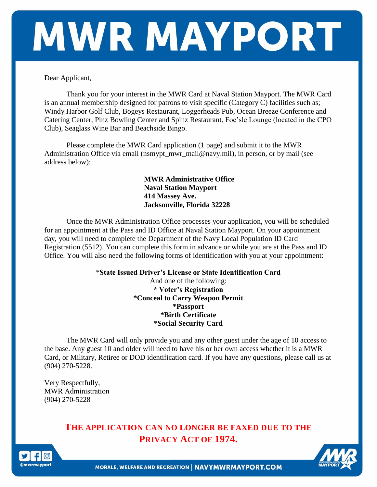# MWR MAYPORT

Dear Applicant,

Thank you for your interest in the MWR Card at Naval Station Mayport. The MWR Card is an annual membership designed for patrons to visit specific (Category C) facilities such as; Windy Harbor Golf Club, Bogeys Restaurant, Loggerheads Pub, Ocean Breeze Conference and Catering Center, Pinz Bowling Center and Spinz Restaurant, Foc'sle Lounge (located in the CPO Club), Seaglass Wine Bar and Beachside Bingo.

Please complete the MWR Card application (1 page) and submit it to the MWR Administration Office via email (nsmypt\_mwr\_mail@navy.mil), in person, or by mail (see address below):

> **MWR Administrative Office Naval Station Mayport 414 Massey Ave. Jacksonville, Florida 32228**

Once the MWR Administration Office processes your application, you will be scheduled for an appointment at the Pass and ID Office at Naval Station Mayport. On your appointment day, you will need to complete the Department of the Navy Local Population ID Card Registration (5512). You can complete this form in advance or while you are at the Pass and ID Office. You will also need the following forms of identification with you at your appointment:

#### \***State Issued Driver's License or State Identification Card** And one of the following: **\* Voter's Registration \*Conceal to Carry Weapon Permit \*Passport \*Birth Certificate \*Social Security Card**

The MWR Card will only provide you and any other guest under the age of 10 access to the base. Any guest 10 and older will need to have his or her own access whether it is a MWR Card, or Military, Retiree or DOD identification card. If you have any questions, please call us at (904) 270-5228.

Very Respectfully, MWR Administration (904) 270-5228

> **THE APPLICATION CAN NO LONGER BE FAXED DUE TO THE PRIVACY ACT OF 1974.**